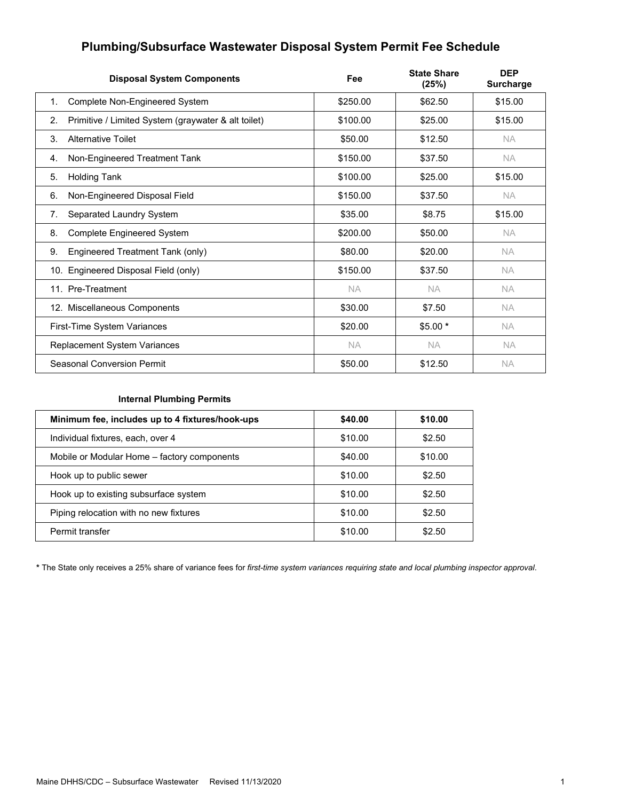# **Plumbing/Subsurface Wastewater Disposal System Permit Fee Schedule**

| <b>Disposal System Components</b>                         | Fee       | <b>State Share</b><br>(25%) | <b>DEP</b><br><b>Surcharge</b> |
|-----------------------------------------------------------|-----------|-----------------------------|--------------------------------|
| Complete Non-Engineered System<br>1.                      | \$250.00  | \$62.50                     | \$15.00                        |
| Primitive / Limited System (graywater & alt toilet)<br>2. | \$100.00  | \$25.00                     | \$15.00                        |
| 3.<br><b>Alternative Toilet</b>                           | \$50.00   | \$12.50                     | NA.                            |
| Non-Engineered Treatment Tank<br>4.                       | \$150.00  | \$37.50                     | NA.                            |
| <b>Holding Tank</b><br>5.                                 | \$100.00  | \$25.00                     | \$15.00                        |
| Non-Engineered Disposal Field<br>6.                       | \$150.00  | \$37.50                     | NA.                            |
| Separated Laundry System<br>7.                            | \$35.00   | \$8.75                      | \$15.00                        |
| <b>Complete Engineered System</b><br>8.                   | \$200.00  | \$50.00                     | NA.                            |
| 9.<br>Engineered Treatment Tank (only)                    | \$80.00   | \$20.00                     | <b>NA</b>                      |
| 10. Engineered Disposal Field (only)                      | \$150.00  | \$37.50                     | <b>NA</b>                      |
| 11. Pre-Treatment                                         | <b>NA</b> | <b>NA</b>                   | <b>NA</b>                      |
| 12. Miscellaneous Components                              | \$30.00   | \$7.50                      | <b>NA</b>                      |
| First-Time System Variances                               | \$20.00   | $$5.00*$                    | <b>NA</b>                      |
| Replacement System Variances                              | <b>NA</b> | <b>NA</b>                   | <b>NA</b>                      |
| Seasonal Conversion Permit                                | \$50.00   | \$12.50                     | NA.                            |

# **Internal Plumbing Permits**

| Minimum fee, includes up to 4 fixtures/hook-ups | \$40.00 | \$10.00 |
|-------------------------------------------------|---------|---------|
| Individual fixtures, each, over 4               | \$10.00 | \$2.50  |
| Mobile or Modular Home - factory components     | \$40.00 | \$10.00 |
| Hook up to public sewer                         | \$10.00 | \$2.50  |
| Hook up to existing subsurface system           | \$10.00 | \$2.50  |
| Piping relocation with no new fixtures          | \$10.00 | \$2.50  |
| Permit transfer                                 | \$10.00 | \$2.50  |

**\*** The State only receives a 25% share of variance fees for *first-time system variances requiring state and local plumbing inspector approval*.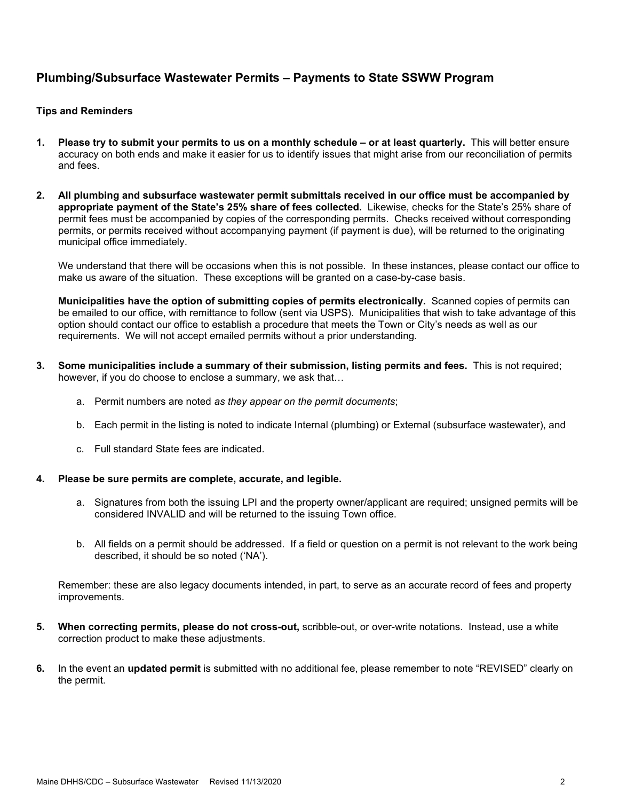# **Plumbing/Subsurface Wastewater Permits – Payments to State SSWW Program**

# **Tips and Reminders**

- **1. Please try to submit your permits to us on a monthly schedule or at least quarterly.** This will better ensure accuracy on both ends and make it easier for us to identify issues that might arise from our reconciliation of permits and fees.
- **2. All plumbing and subsurface wastewater permit submittals received in our office must be accompanied by appropriate payment of the State's 25% share of fees collected.** Likewise, checks for the State's 25% share of permit fees must be accompanied by copies of the corresponding permits. Checks received without corresponding permits, or permits received without accompanying payment (if payment is due), will be returned to the originating municipal office immediately.

We understand that there will be occasions when this is not possible. In these instances, please contact our office to make us aware of the situation. These exceptions will be granted on a case-by-case basis.

**Municipalities have the option of submitting copies of permits electronically.** Scanned copies of permits can be emailed to our office, with remittance to follow (sent via USPS). Municipalities that wish to take advantage of this option should contact our office to establish a procedure that meets the Town or City's needs as well as our requirements. We will not accept emailed permits without a prior understanding.

- **3. Some municipalities include a summary of their submission, listing permits and fees.** This is not required; however, if you do choose to enclose a summary, we ask that…
	- a. Permit numbers are noted *as they appear on the permit documents*;
	- b. Each permit in the listing is noted to indicate Internal (plumbing) or External (subsurface wastewater), and
	- c. Full standard State fees are indicated.

### **4. Please be sure permits are complete, accurate, and legible.**

- a. Signatures from both the issuing LPI and the property owner/applicant are required; unsigned permits will be considered INVALID and will be returned to the issuing Town office.
- b. All fields on a permit should be addressed. If a field or question on a permit is not relevant to the work being described, it should be so noted ('NA').

Remember: these are also legacy documents intended, in part, to serve as an accurate record of fees and property improvements.

- **5. When correcting permits, please do not cross-out,** scribble-out, or over-write notations. Instead, use a white correction product to make these adjustments.
- **6.** In the event an **updated permit** is submitted with no additional fee, please remember to note "REVISED" clearly on the permit.